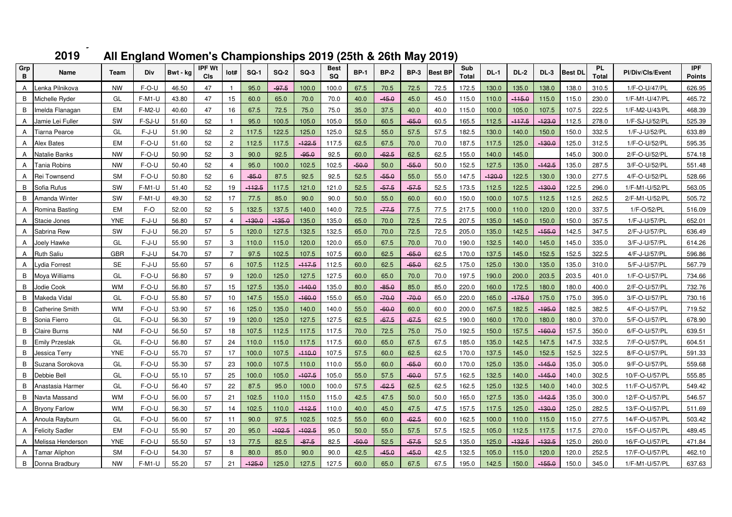## **2019All England Women's Championships 2019 (25th & 26th May 2019)**

**25th May** 

| Grp<br>в       | Name                    | Team       | Div           | Bwt - ka | <b>IPF Wt</b><br><b>CIs</b> | Iot#           | <b>SQ-1</b> | <b>SQ-2</b> | $SO-3$   | <b>Best</b><br>SQ | <b>BP-1</b> | <b>BP-2</b> | <b>BP-3</b> | <b>Best BP</b> | Sub<br><b>Total</b> | <b>DL-1</b> | <b>DL-2</b> | <b>DL-3</b> | <b>Best DL</b> | PL<br>Total | Pl/Div/Cls/Event | <b>IPF</b><br><b>Points</b> |
|----------------|-------------------------|------------|---------------|----------|-----------------------------|----------------|-------------|-------------|----------|-------------------|-------------|-------------|-------------|----------------|---------------------|-------------|-------------|-------------|----------------|-------------|------------------|-----------------------------|
| A              | Lenka Pilnikova         | <b>NW</b>  | $F-O-U$       | 46.50    | 47                          |                | 95.0        | $-97.5$     | 100.0    | 100.0             | 67.5        | 70.5        | 72.5        | 72.5           | 172.5               | 130.0       | 135.0       | 138.0       | 138.0          | 310.5       | 1/F-O-U/47/PL    | 626.95                      |
| B              | Michelle Ryder          | GL         | $F-M1-U$      | 43.80    | 47                          | 15             | 60.0        | 65.0        | 70.0     | 70.0              | 40.0        | $-45.0$     | 45.0        | 45.0           | 115.0               | 110.0       | $-115.0$    | 115.0       | 115.0          | 230.0       | 1/F-M1-U/47/PL   | 465.72                      |
| B              | melda Flanagan          | <b>EM</b>  | <b>F-M2-U</b> | 40.60    | 47                          | 16             | 67.5        | 72.5        | 75.0     | 75.0              | 35.0        | 37.5        | 40.0        | 40.0           | 115.0               | 100.0       | 105.0       | 107.5       | 107.5          | 222.5       | 1/F-M2-U/43/PL   | 468.39                      |
| A              | Jamie Lei Fuller        | SW         | F-SJ-U        | 51.60    | 52                          | $\mathbf{1}$   | 95.0        | 100.5       | 105.0    | 105.0             | 55.0        | 60.5        | $-65.0$     | 60.5           | 165.5               | 112.5       | $-117.5$    | $-123.0$    | 112.5          | 278.0       | 1/F-SJ-U/52/PL   | 525.39                      |
| A              | Tiarna Pearce           | GL         | F-J-U         | 51.90    | 52                          | $\mathbf{2}$   | 117.5       | 122.5       | 125.0    | 125.0             | 52.5        | 55.0        | 57.5        | 57.5           | 182.5               | 130.0       | 140.0       | 150.0       | 150.0          | 332.5       | 1/F-J-U/52/PL    | 633.89                      |
| A              | <b>Alex Bates</b>       | EM         | F-O-U         | 51.60    | 52                          | $\overline{2}$ | 112.5       | 117.5       | 122.5    | 117.5             | 62.5        | 67.5        | 70.0        | 70.0           | 187.5               | 117.5       | 125.0       | $-130.0$    | 125.0          | 312.5       | 1/F-O-U/52/PL    | 595.35                      |
| A              | <b>Natalie Banks</b>    | <b>NW</b>  | $F-O-U$       | 50.90    | 52                          | 3              | 90.0        | 92.5        | $-95.0$  | 92.5              | 60.0        | $-62.5$     | 62.5        | 62.5           | 155.0               | 140.0       | 145.0       |             | 145.0          | 300.0       | 2/F-O-U/52/PL    | 574.18                      |
| A              | <b>Tania Robins</b>     | <b>NW</b>  | F-O-U         | 50.40    | 52                          | $\overline{4}$ | 95.0        | 100.0       | 102.5    | 102.5             | $-50.0$     | 50.0        | $-55.0$     | 50.0           | 152.5               | 127.5       | 135.0       | $-142.5$    | 135.0          | 287.5       | 3/F-O-U/52/PL    | 551.48                      |
| $\overline{A}$ | <b>Rei Townsend</b>     | <b>SM</b>  | $F-O-U$       | 50.80    | 52                          | 6              | $-85.0$     | 87.5        | 92.5     | 92.5              | 52.5        | $-55.0$     | 55.0        | 55.0           | 147.5               | $-120.0$    | 122.5       | 130.0       | 130.0          | 277.5       | 4/F-O-U/52/PL    | 528.66                      |
| B              | Sofia Rufus             | SW         | $F-M1-U$      | 51.40    | 52                          | 19             | $-112.5$    | 117.5       | 121.0    | 121.0             | 52.5        | $-57.5$     | $-57.5$     | 52.5           | 173.5               | 112.5       | 122.5       | $-130.0$    | 122.5          | 296.0       | 1/F-M1-U/52/PL   | 563.05                      |
| В              | Amanda Winter           | SW         | $F-M1-U$      | 49.30    | 52                          | 17             | 77.5        | 85.0        | 90.0     | 90.0              | 50.0        | 55.0        | 60.0        | 60.0           | 150.0               | 100.0       | 107.5       | 112.5       | 112.5          | 262.5       | 2/F-M1-U/52/PL   | 505.72                      |
| A              | Romina Basting          | EM         | F-O           | 52.00    | 52                          | 5              | 132.5       | 137.5       | 140.0    | 140.0             | 72.5        | $-77.5$     | 77.5        | 77.5           | 217.5               | 100.0       | 110.0       | 120.0       | 120.0          | 337.5       | 1/F-O/52/PL      | 516.09                      |
| A              | Stacie Jones            | <b>YNE</b> | F-J-U         | 56.80    | 57                          | $\overline{4}$ | $-130.0$    | $-135.0$    | 135.0    | 135.0             | 65.0        | 70.0        | 72.5        | 72.5           | 207.5               | 135.0       | 145.0       | 150.0       | 150.0          | 357.5       | 1/F-J-U/57/PL    | 652.01                      |
| A              | Sabrina Rew             | SW         | F-J-U         | 56.20    | 57                          | 5              | 120.0       | 127.5       | 132.5    | 132.5             | 65.0        | 70.0        | 72.5        | 72.5           | 205.0               | 135.0       | 142.5       | $-155.0$    | 142.5          | 347.5       | 2/F-J-U/57/PL    | 636.49                      |
| A              | Joely Hawke             | GL         | F-J-U         | 55.90    | 57                          | 3              | 110.0       | 115.0       | 120.0    | 120.0             | 65.0        | 67.5        | 70.0        | 70.0           | 190.0               | 132.5       | 140.0       | 145.0       | 145.0          | 335.0       | 3/F-J-U/57/PL    | 614.26                      |
| A              | <b>Ruth Saliu</b>       | GBR        | $F-J-U$       | 54.70    | 57                          | $\overline{7}$ | 97.5        | 102.5       | 107.5    | 107.5             | 60.0        | 62.5        | $-65.0$     | 62.5           | 170.0               | 137.5       | 145.0       | 152.5       | 152.5          | 322.5       | 4/F-J-U/57/PL    | 596.86                      |
| A              | vdia Forrest            | <b>SE</b>  | $F-J-U$       | 55.60    | 57                          | 6              | 107.5       | 112.5       | $-117.5$ | 112.5             | 60.0        | 62.5        | $-65.0$     | 62.5           | 175.0               | 125.0       | 130.0       | 135.0       | 135.0          | 310.0       | 5/F-J-U/57/PL    | 567.79                      |
| B              | Moya Williams           | GL         | F-O-U         | 56.80    | 57                          | 9              | 120.0       | 125.0       | 127.5    | 127.5             | 60.0        | 65.0        | 70.0        | 70.0           | 197.5               | 190.0       | 200.0       | 203.5       | 203.5          | 401.0       | 1/F-O-U/57/PL    | 734.66                      |
| B              | Jodie Cook              | <b>WM</b>  | $F-O-U$       | 56.80    | 57                          | 15             | 127.5       | 135.0       | $-140.0$ | 135.0             | 80.0        | $-85.0$     | 85.0        | 85.0           | 220.0               | 160.0       | 172.5       | 180.0       | 180.0          | 400.0       | 2/F-O-U/57/PL    | 732.76                      |
| B              | Makeda Vidal            | GL         | $F-O-U$       | 55.80    | 57                          | 10             | 147.5       | 155.0       | $-160.0$ | 155.0             | 65.0        | $-70.0$     | $-70.0$     | 65.0           | 220.0               | 165.0       | $-175.0$    | 175.0       | 175.0          | 395.0       | 3/F-O-U/57/PL    | 730.16                      |
| B              | Catherine Smith         | <b>WM</b>  | F-O-U         | 53.90    | 57                          | 16             | 125.0       | 135.0       | 140.0    | 140.0             | 55.0        | $-60.0$     | 60.0        | 60.0           | 200.0               | 167.5       | 182.5       | $-195.0$    | 182.5          | 382.5       | 4/F-O-U/57/PL    | 719.52                      |
| В              | Sonia Fierro            | GL         | $F-O-U$       | 56.30    | 57                          | 19             | 120.0       | 125.0       | 127.5    | 127.5             | 62.5        | $-67.5$     | $-67.5$     | 62.5           | 190.0               | 160.0       | 170.0       | 180.0       | 180.0          | 370.0       | 5/F-O-U/57/PL    | 678.90                      |
| B              | Claire Burns            | <b>NM</b>  | F-O-U         | 56.50    | 57                          | 18             | 107.5       | 112.5       | 117.5    | 117.5             | 70.0        | 72.5        | 75.0        | 75.0           | 192.5               | 150.0       | 157.5       | $-160.0$    | 157.5          | 350.0       | 6/F-O-U/57/PL    | 639.51                      |
| В              | <b>Emily Przeslak</b>   | GL         | F-O-U         | 56.80    | 57                          | 24             | 110.0       | 115.0       | 117.5    | 117.5             | 60.0        | 65.0        | 67.5        | 67.5           | 185.0               | 135.0       | 142.5       | 147.5       | 147.5          | 332.5       | 7/F-O-U/57/PL    | 604.51                      |
| В              | Jessica Terry           | <b>YNE</b> | $F-O-U$       | 55.70    | 57                          | 17             | 100.0       | 107.5       | $-110.0$ | 107.5             | 57.5        | 60.0        | 62.5        | 62.5           | 170.0               | 137.5       | 145.0       | 152.5       | 152.5          | 322.5       | 8/F-O-U/57/PL    | 591.33                      |
| В              | Suzana Sorokova         | GL         | $F-O-U$       | 55.30    | 57                          | 23             | 100.0       | 107.5       | 110.0    | 110.0             | 55.0        | 60.0        | $-65.0$     | 60.0           | 170.0               | 125.0       | 135.0       | $-145.0$    | 135.0          | 305.0       | 9/F-O-U/57/PL    | 559.68                      |
| В              | Debbie Bell             | GL         | F-O-U         | 55.10    | 57                          | 25             | 100.0       | 105.0       | $-107.5$ | 105.0             | 55.0        | 57.5        | $-60.0$     | 57.5           | 162.5               | 132.5       | 140.0       | $-145.0$    | 140.0          | 302.5       | 10/F-O-U/57/PL   | 555.85                      |
| В              | Anastasia Harmer        | GL         | $F-O-U$       | 56.40    | 57                          | 22             | 87.5        | 95.0        | 100.0    | 100.0             | 57.5        | $-62.5$     | 62.5        | 62.5           | 162.5               | 125.0       | 132.5       | 140.0       | 140.0          | 302.5       | 11/F-O-U/57/PL   | 549.42                      |
| В              | Navta Massand           | <b>WM</b>  | $F-O-U$       | 56.00    | 57                          | 21             | 102.5       | 110.0       | 115.0    | 115.0             | 42.5        | 47.5        | 50.0        | 50.0           | 165.0               | 127.5       | 135.0       | $-142.5$    | 135.0          | 300.0       | 12/F-O-U/57/PL   | 546.57                      |
| A              | <b>Bryony Farlow</b>    | <b>WM</b>  | $F-O-U$       | 56.30    | 57                          | 14             | 102.5       | 110.0       | $-112.5$ | 110.0             | 40.0        | 45.0        | 47.5        | 47.5           | 157.5               | 117.5       | 125.0       | $-130.0$    | 125.0          | 282.5       | 13/F-O-U/57/PL   | 511.69                      |
| $\mathsf{A}$   | Anoula Rayburn          | GL         | $F-O-U$       | 56.00    | 57                          | 11             | 90.0        | 97.5        | 102.5    | 102.5             | 55.0        | 60.0        | $-62.5$     | 60.0           | 162.5               | 100.0       | 110.0       | 115.0       | 115.0          | 277.5       | 14/F-O-U/57/PL   | 503.42                      |
| A              | <b>Felicity Sadler</b>  | EM         | F-O-U         | 55.90    | 57                          | 20             | 95.0        | $-102.5$    | $-102.5$ | 95.0              | 50.0        | 55.0        | 57.5        | 57.5           | 152.5               | 105.0       | 112.5       | 117.5       | 117.5          | 270.0       | 15/F-O-U/57/PL   | 489.45                      |
| A              | Melissa Henderson       | <b>YNE</b> | F-O-U         | 55.50    | 57                          | 13             | 77.5        | 82.5        | $-87.5$  | 82.5              | $-50.0$     | 52.5        | $-57.5$     | 52.5           | 135.0               | 125.0       | $-132.5$    | $-132.5$    | 125.0          | 260.0       | 16/F-O-U/57/PL   | 471.84                      |
| $\overline{A}$ | <b>Tamar Aliphon</b>    | <b>SM</b>  | $F-O-U$       | 54.30    | 57                          | 8              | 80.0        | 85.0        | 90.0     | 90.0              | 42.5        | $-45.0$     | $-45.0$     | 42.5           | 132.5               | 105.0       | 115.0       | 120.0       | 120.0          | 252.5       | 17/F-O-U/57/PL   | 462.10                      |
|                | <b>B</b> Donna Bradbury | <b>NW</b>  | $F-M1-U$      | 55.20    | 57                          | 21             | $-125.0$    | 125.0       | 127.5    | 127.5             | 60.0        | 65.0        | 67.5        | 67.5           | 195.0               | 142.5       | 150.0       | $-155.0$    | 150.0          | 345.0       | 1/F-M1-U/57/PL   | 637.63                      |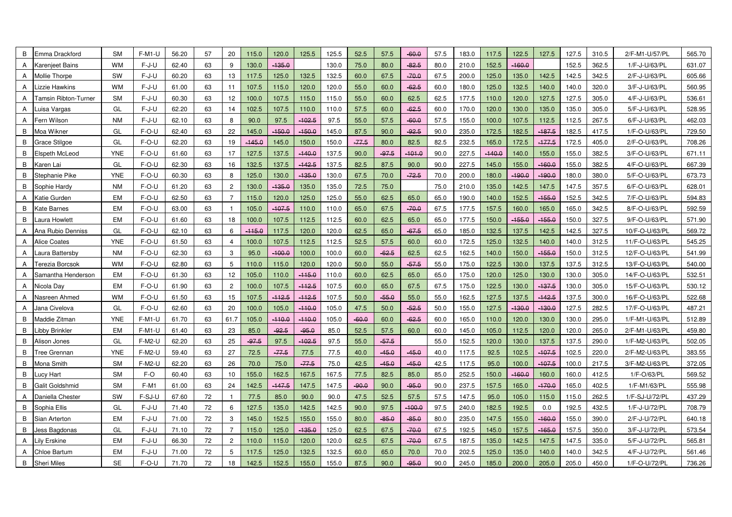| B              | Emma Drackford              | <b>SM</b>  | F-M1-U        | 56.20 | 57 | 20             | 115.0    | 120.0    | 125.5    | 125.5 | 52.5    | 57.5    | $-60.0$  | 57.5 | 183.0 | 117.5    | 122.5    | 127.5    | 127.5 | 310.5 | 2/F-M1-U/57/PL | 565.70 |
|----------------|-----------------------------|------------|---------------|-------|----|----------------|----------|----------|----------|-------|---------|---------|----------|------|-------|----------|----------|----------|-------|-------|----------------|--------|
| A              | Karenjeet Bains             | <b>WM</b>  | F-J-U         | 62.40 | 63 | 9              | 130.0    | $-135.0$ |          | 130.0 | 75.0    | 80.0    | $-82.5$  | 80.0 | 210.0 | 152.5    | $-160.0$ |          | 152.5 | 362.5 | 1/F-J-U/63/PL  | 631.07 |
| A              | Mollie Thorpe               | SW         | F-J-U         | 60.20 | 63 | 13             | 117.5    | 125.0    | 132.5    | 132.5 | 60.0    | 67.5    | $-70.0$  | 67.5 | 200.0 | 125.0    | 135.0    | 142.5    | 142.5 | 342.5 | 2/F-J-U/63/PL  | 605.66 |
| A              | Lizzie Hawkins              | <b>WM</b>  | F-J-U         | 61.00 | 63 | 11             | 107.5    | 115.0    | 120.0    | 120.0 | 55.0    | 60.0    | $-62.5$  | 60.0 | 180.0 | 125.0    | 132.5    | 140.0    | 140.0 | 320.0 | 3/F-J-U/63/PL  | 560.95 |
| A              | <b>Tamsin Ribton-Turner</b> | <b>SM</b>  | F-J-U         | 60.30 | 63 | 12             | 100.0    | 107.5    | 115.0    | 115.0 | 55.0    | 60.0    | 62.5     | 62.5 | 177.5 | 110.0    | 120.0    | 127.5    | 127.5 | 305.0 | 4/F-J-U/63/PL  | 536.61 |
| $\overline{A}$ | Luisa Vargas                | GL         | F-J-U         | 62.20 | 63 | 14             | 102.5    | 107.5    | 110.0    | 110.0 | 57.5    | 60.0    | $-62.5$  | 60.0 | 170.0 | 120.0    | 130.0    | 135.0    | 135.0 | 305.0 | 5/F-J-U/63/PL  | 528.95 |
| A              | Fern Wilson                 | <b>NM</b>  | F-J-U         | 62.10 | 63 | 8              | 90.0     | 97.5     | $-102.5$ | 97.5  | 55.0    | 57.5    | $-60.0$  | 57.5 | 155.0 | 100.0    | 107.5    | 112.5    | 112.5 | 267.5 | 6/F-J-U/63/PL  | 462.03 |
| B              | Moa Wikner                  | GL         | F-O-U         | 62.40 | 63 | 22             | 145.0    | $-150.0$ | 150.0    | 145.0 | 87.5    | 90.0    | $-92.5$  | 90.0 | 235.0 | 172.5    | 182.5    | $-187.5$ | 182.5 | 417.5 | 1/F-O-U/63/PL  | 729.50 |
| B              | <b>Grace Stilgoe</b>        | GL         | F-O-U         | 62.20 | 63 | 19             | $-145.0$ | 145.0    | 150.0    | 150.0 | $-77.5$ | 80.0    | 82.5     | 82.5 | 232.5 | 165.0    | 172.5    | $-177.5$ | 172.5 | 405.0 | 2/F-O-U/63/PL  | 708.26 |
| B              | Elspeth McLeod              | <b>YNE</b> | F-O-U         | 61.60 | 63 | 17             | 127.5    | 137.5    | $-140.0$ | 137.5 | 90.0    | $-97.5$ | $-101.0$ | 90.0 | 227.5 | $-140.0$ | 140.0    | 155.0    | 155.0 | 382.5 | 3/F-O-U/63/PL  | 671.11 |
| B              | Karen Lai                   | GL         | $F-O-U$       | 62.30 | 63 | 16             | 132.5    | 137.5    | $-142.5$ | 137.5 | 82.5    | 87.5    | 90.0     | 90.0 | 227.5 | 145.0    | 155.0    | $-160.0$ | 155.0 | 382.5 | 4/F-O-U/63/PL  | 667.39 |
| B              | Stephanie Pike              | <b>YNE</b> | $F-O-U$       | 60.30 | 63 | 8              | 125.0    | 130.0    | $-135.0$ | 130.0 | 67.5    | 70.0    | $-72.5$  | 70.0 | 200.0 | 180.0    | $-190.0$ | $-190.0$ | 180.0 | 380.0 | 5/F-O-U/63/PL  | 673.73 |
| B              | Sophie Hardy                | <b>NM</b>  | $F-O-U$       | 61.20 | 63 | $\overline{c}$ | 130.0    | $-135.0$ | 135.0    | 135.0 | 72.5    | 75.0    |          | 75.0 | 210.0 | 135.0    | 142.5    | 147.5    | 147.5 | 357.5 | 6/F-O-U/63/PL  | 628.01 |
| A              | Katie Gurden                | <b>EM</b>  | F-O-U         | 62.50 | 63 | $\overline{7}$ | 115.0    | 120.0    | 125.0    | 125.0 | 55.0    | 62.5    | 65.0     | 65.0 | 190.0 | 140.0    | 152.5    | $-155.0$ | 152.5 | 342.5 | 7/F-O-U/63/PL  | 594.83 |
| B              | <b>Kate Barnes</b>          | <b>EM</b>  | $F-O-U$       | 63.00 | 63 | $\mathbf{1}$   | 105.0    | $-107.5$ | 110.0    | 110.0 | 65.0    | 67.5    | $-70.0$  | 67.5 | 177.5 | 157.5    | 160.0    | 165.0    | 165.0 | 342.5 | 8/F-O-U/63/PL  | 592.59 |
| B              | Laura Howlett               | EM         | F-O-U         | 61.60 | 63 | 18             | 100.0    | 107.5    | 112.5    | 112.5 | 60.0    | 62.5    | 65.0     | 65.0 | 177.5 | 150.0    | $-155.0$ | $-155.0$ | 150.0 | 327.5 | 9/F-O-U/63/PL  | 571.90 |
| $\mathsf{A}$   | Ana Rubio Denniss           | GL         | F-O-U         | 62.10 | 63 | 6              | $-115.0$ | 117.5    | 120.0    | 120.0 | 62.5    | 65.0    | $-67.5$  | 65.0 | 185.0 | 132.5    | 137.5    | 142.5    | 142.5 | 327.5 | 10/F-O-U/63/PL | 569.72 |
| A              | <b>Alice Coates</b>         | <b>YNE</b> | F-O-U         | 61.50 | 63 | 4              | 100.0    | 107.5    | 112.5    | 112.5 | 52.5    | 57.5    | 60.0     | 60.0 | 172.5 | 125.0    | 132.5    | 140.0    | 140.0 | 312.5 | 11/F-O-U/63/PL | 545.25 |
| $\mathsf{A}$   | Laura Battersby             | <b>NM</b>  | $F-O-U$       | 62.30 | 63 | 3              | 95.0     | $-100.0$ | 100.0    | 100.0 | 60.0    | $-62.5$ | 62.5     | 62.5 | 162.5 | 140.0    | 150.0    | $-155.0$ | 150.0 | 312.5 | 12/F-O-U/63/PL | 541.99 |
| A              | <b>Terezia Borcsok</b>      | <b>WM</b>  | $F-O-U$       | 62.80 | 63 | 5              | 110.0    | 115.0    | 120.0    | 120.0 | 50.0    | 55.0    | $-57.5$  | 55.0 | 175.0 | 122.5    | 130.0    | 137.5    | 137.5 | 312.5 | 13/F-O-U/63/PL | 540.00 |
| A              | Samantha Henderson          | EM         | F-O-U         | 61.30 | 63 | 12             | 105.0    | 110.0    | $-115.0$ | 110.0 | 60.0    | 62.5    | 65.0     | 65.0 | 175.0 | 120.0    | 125.0    | 130.0    | 130.0 | 305.0 | 14/F-O-U/63/PL | 532.51 |
| A              | Nicola Day                  | <b>EM</b>  | $F-O-U$       | 61.90 | 63 | $\overline{c}$ | 100.0    | 107.5    | $-112.5$ | 107.5 | 60.0    | 65.0    | 67.5     | 67.5 | 175.0 | 122.5    | 130.0    | $-137.5$ | 130.0 | 305.0 | 15/F-O-U/63/PL | 530.12 |
| A              | Nasreen Ahmed               | <b>WM</b>  | $F-O-U$       | 61.50 | 63 | 15             | 107.5    | $-112.5$ | $-112.5$ | 107.5 | 50.0    | $-55.0$ | 55.0     | 55.0 | 162.5 | 127.5    | 137.5    | $-142.5$ | 137.5 | 300.0 | 16/F-O-U/63/PL | 522.68 |
| A              | Jana Civelova               | GL         | $F-O-U$       | 62.60 | 63 | 20             | 100.0    | 105.0    | $-110.0$ | 105.0 | 47.5    | 50.0    | $-52.5$  | 50.0 | 155.0 | 127.5    | $-130.0$ | $-130.0$ | 127.5 | 282.5 | 17/F-O-U/63/PL | 487.21 |
| B              | Maddie Zitman               | <b>YNE</b> | $F-M1-U$      | 61.70 | 63 | 61.7           | 105.0    | $-110.0$ | $-110.0$ | 105.0 | $-60.0$ | 60.0    | $-62.5$  | 60.0 | 165.0 | 110.0    | 120.0    | 130.0    | 130.0 | 295.0 | 1/F-M1-U/63/PL | 512.89 |
| B              | Libby Brinkler              | <b>EM</b>  | $F-M1-U$      | 61.40 | 63 | 23             | 85.0     | $-92.5$  | $-95.0$  | 85.0  | 52.5    | 57.5    | 60.0     | 60.0 | 145.0 | 105.0    | 112.5    | 120.0    | 120.0 | 265.0 | 2/F-M1-U/63/PL | 459.80 |
| B              | Alison Jones                | GL         | <b>F-M2-U</b> | 62.20 | 63 | 25             | $-97.5$  | 97.5     | $-102.5$ | 97.5  | 55.0    | $-57.5$ |          | 55.0 | 152.5 | 120.0    | 130.0    | 137.5    | 137.5 | 290.0 | 1/F-M2-U/63/PL | 502.05 |
| B              | <b>Tree Grennan</b>         | <b>YNE</b> | F-M2-U        | 59.40 | 63 | 27             | 72.5     | $-77.5$  | 77.5     | 77.5  | 40.0    | $-45.0$ | $-45.0$  | 40.0 | 117.5 | 92.5     | 102.5    | $-107.5$ | 102.5 | 220.0 | 2/F-M2-U/63/PL | 383.55 |
| B              | Mona Smith                  | <b>SM</b>  | <b>F-M2-U</b> | 62.20 | 63 | 26             | 70.0     | 75.0     | $-77.5$  | 75.0  | 42.5    | $-45.0$ | $-45.0$  | 42.5 | 117.5 | 95.0     | 100.0    | $-107.5$ | 100.0 | 217.5 | 3/F-M2-U/63/PL | 372.05 |
| B              | ucy Hart                    | <b>SM</b>  | F-O           | 60.40 | 63 | 10             | 155.0    | 162.5    | 167.5    | 167.5 | 77.5    | 82.5    | 85.0     | 85.0 | 252.5 | 150.0    | $-160.0$ | 160.0    | 160.0 | 412.5 | 1/F-O/63/PL    | 569.52 |
| B              | Galit Goldshmid             | <b>SM</b>  | $F-M1$        | 61.00 | 63 | 24             | 142.5    | $-147.5$ | 147.5    | 147.5 | $-90.0$ | 90.0    | $-95.0$  | 90.0 | 237.5 | 157.5    | 165.0    | $-170.0$ | 165.0 | 402.5 | 1/F-M1/63/PL   | 555.98 |
| A              | Daniella Chester            | SW         | F-SJ-U        | 67.60 | 72 |                | 77.5     | 85.0     | 90.0     | 90.0  | 47.5    | 52.5    | 57.5     | 57.5 | 147.5 | 95.0     | 105.0    | 115.0    | 115.0 | 262.5 | 1/F-SJ-U/72/PL | 437.29 |
| B              | Sophia Ellis                | GL         | F-J-U         | 71.40 | 72 | 6              | 127.5    | 135.0    | 142.5    | 142.5 | 90.0    | 97.5    | $-100.0$ | 97.5 | 240.0 | 182.5    | 192.5    | 0.0      | 192.5 | 432.5 | 1/F-J-U/72/PL  | 708.79 |
| B              | Sian Arterton               | EM         | F-J-U         | 71.00 | 72 | 3              | 145.0    | 152.5    | 155.0    | 155.0 | 80.0    | $-85.0$ | $-85.0$  | 80.0 | 235.0 | 147.5    | 155.0    | $-160.0$ | 155.0 | 390.0 | 2/F-J-U/72/PI  | 640.18 |
| B              | Jess Bagdonas               | GL         | $F-J-U$       | 71.10 | 72 |                | 115.0    | 125.0    | 135.0    | 125.0 | 62.5    | 67.5    | $-70.0$  | 67.5 | 192.5 | 145.0    | 157.5    | $-165.0$ | 157.5 | 350.0 | 3/F-J-U/72/PI  | 573.54 |
| A              | <b>Lily Erskine</b>         | <b>EM</b>  | $F-J-U$       | 66.30 | 72 | $\overline{c}$ | 110.0    | 115.0    | 120.0    | 120.0 | 62.5    | 67.5    | $-70.0$  | 67.5 | 187.5 | 135.0    | 142.5    | 147.5    | 147.5 | 335.0 | 5/F-J-U/72/PI  | 565.81 |
| A              | <b>Chloe Bartum</b>         | EM         | F-J-U         | 71.00 | 72 | 5              | 117.5    | 125.0    | 132.5    | 132.5 | 60.0    | 65.0    | 70.0     | 70.0 | 202.5 | 125.0    | 135.0    | 140.0    | 140.0 | 342.5 | 4/F-J-U/72/PI  | 561.46 |
|                | <b>B</b> Sheri Miles        | <b>SE</b>  | $F-O-U$       | 71.70 | 72 | 18             | 142.5    | 152.5    | 155.0    | 155.0 | 87.5    | 90.0    | $-95.0$  | 90.0 | 245.0 | 185.0    | 200.0    | 205.0    | 205.0 | 450.0 | 1/F-O-U/72/PL  | 736.26 |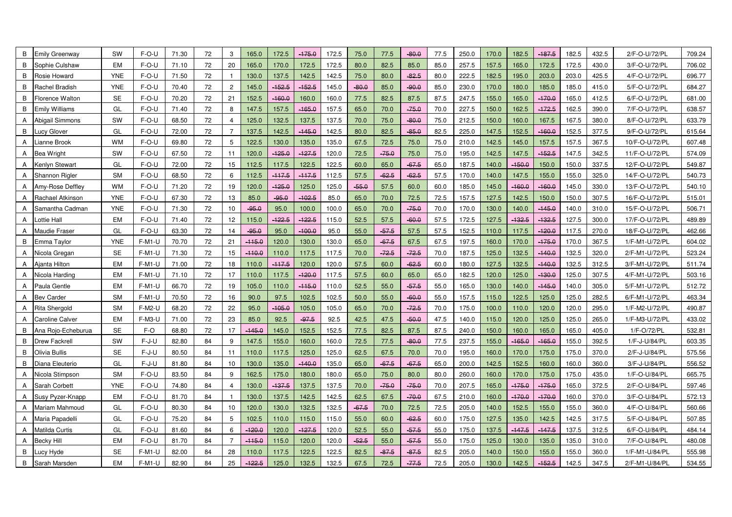| B | <b>Emily Greenway</b>  | SW         | $F-O-U$  | 71.30 | 72 | 3                       | 165.0    | 172.5    | $-175.0$ | 172.5 | 75.0    | 77.5    | $-80.0$ | 77.5 | 250.0 | 170.0 | 182.5    | $-187.5$ | 182.5 | 432.5 | 2/F-O-U/72/PL  | 709.24 |
|---|------------------------|------------|----------|-------|----|-------------------------|----------|----------|----------|-------|---------|---------|---------|------|-------|-------|----------|----------|-------|-------|----------------|--------|
| B | Sophie Culshaw         | EM         | $F-O-U$  | 71.10 | 72 | 20                      | 165.0    | 170.0    | 172.5    | 172.5 | 80.0    | 82.5    | 85.0    | 85.0 | 257.5 | 157.5 | 165.0    | 172.5    | 172.5 | 430.0 | 3/F-O-U/72/PL  | 706.02 |
| B | Rosie Howard           | <b>YNE</b> | $F-O-U$  | 71.50 | 72 |                         | 130.0    | 137.5    | 142.5    | 142.5 | 75.0    | 80.0    | $-82.5$ | 80.0 | 222.5 | 182.5 | 195.0    | 203.0    | 203.0 | 425.5 | 4/F-O-U/72/PL  | 696.77 |
| B | Rachel Bradish         | <b>YNE</b> | F-O-U    | 70.40 | 72 | $\overline{c}$          | 145.0    | $-152.5$ | $-152.5$ | 145.0 | $-80.0$ | 85.0    | $-90.0$ | 85.0 | 230.0 | 170.0 | 180.0    | 185.0    | 185.0 | 415.0 | 5/F-O-U/72/PL  | 684.27 |
| B | <b>Florence Walton</b> | <b>SE</b>  | $F-O-U$  | 70.20 | 72 | 21                      | 152.5    | $-160.0$ | 160.0    | 160.0 | 77.5    | 82.5    | 87.5    | 87.5 | 247.5 | 155.0 | 165.0    | 170.0    | 165.0 | 412.5 | 6/F-O-U/72/PL  | 681.00 |
| В | <b>Emily Williams</b>  | GL         | $F-O-U$  | 71.40 | 72 | 8                       | 147.5    | 157.5    | $-165.0$ | 157.5 | 65.0    | 70.0    | $-75.0$ | 70.0 | 227.5 | 150.0 | 162.5    | $-172.5$ | 162.5 | 390.0 | 7/F-O-U/72/PL  | 638.57 |
| Α | <b>Abigail Simmons</b> | SW         | $F-O-U$  | 68.50 | 72 | $\overline{\mathbf{4}}$ | 125.0    | 132.5    | 137.5    | 137.5 | 70.0    | 75.0    | $-80.0$ | 75.0 | 212.5 | 150.0 | 160.0    | 167.5    | 167.5 | 380.0 | 8/F-O-U/72/PL  | 633.79 |
| B | <b>Lucy Glover</b>     | GL         | $F-O-U$  | 72.00 | 72 | 7                       | 137.5    | 142.5    | $-145.0$ | 142.5 | 80.0    | 82.5    | $-85.0$ | 82.5 | 225.0 | 147.5 | 152.5    | $-160.0$ | 152.5 | 377.5 | 9/F-O-U/72/PL  | 615.64 |
| A | Lianne Brook           | <b>WM</b>  | F-O-U    | 69.80 | 72 | 5                       | 122.5    | 130.0    | 135.0    | 135.0 | 67.5    | 72.5    | 75.0    | 75.0 | 210.0 | 142.5 | 145.0    | 157.5    | 157.5 | 367.5 | 10/F-O-U/72/PL | 607.48 |
| A | <b>Bea Wright</b>      | SW         | $F-O-U$  | 67.50 | 72 | 11                      | 120.0    | $-125.0$ | $-127.5$ | 120.0 | 72.5    | $-75.0$ | 75.0    | 75.0 | 195.0 | 142.5 | 147.5    | $-152.5$ | 147.5 | 342.5 | 11/F-O-U/72/PL | 574.09 |
| A | <b>Kenlyn Stewart</b>  | GL         | F-O-U    | 72.00 | 72 | 15                      | 112.5    | 117.5    | 122.5    | 122.5 | 60.0    | 65.0    | $-67.5$ | 65.0 | 187.5 | 140.0 | $-150.0$ | 150.0    | 150.0 | 337.5 | 12/F-O-U/72/PL | 549.87 |
|   | A Shannon Rigler       | <b>SM</b>  | $F-O-U$  | 68.50 | 72 | 6                       | 112.5    | $-117.5$ | $-117.5$ | 112.5 | 57.5    | $-62.5$ | $-62.5$ | 57.5 | 170.0 | 140.0 | 147.5    | 155.0    | 155.0 | 325.0 | 14/F-O-U/72/PL | 540.73 |
|   | A Amy-Rose Deffley     | <b>WM</b>  | $F-O-U$  | 71.20 | 72 | 19                      | 120.0    | $-125.0$ | 125.0    | 125.0 | $-55.0$ | 57.5    | 60.0    | 60.0 | 185.0 | 145.0 | $-160.0$ | $-160.0$ | 145.0 | 330.0 | 13/F-O-U/72/PL | 540.10 |
| A | Rachael Atkinson       | <b>YNE</b> | $F-O-U$  | 67.30 | 72 | 13                      | 85.0     | $-95.0$  | $-102.5$ | 85.0  | 65.0    | 70.0    | 72.5    | 72.5 | 157.5 | 127.5 | 142.5    | 150.0    | 150.0 | 307.5 | 16/F-O-U/72/PL | 515.01 |
| A | Samantha Cadman        | <b>YNE</b> | F-O-U    | 71.30 | 72 | 10                      | $-95.0$  | 95.0     | 100.0    | 100.0 | 65.0    | 70.0    | $-75.0$ | 70.0 | 170.0 | 130.0 | 140.0    | $-145.0$ | 140.0 | 310.0 | 15/F-O-U/72/PL | 506.71 |
| A | <b>Lottie Hall</b>     | EM         | $F-O-U$  | 71.40 | 72 | 12                      | 115.0    | $-122.5$ | $-122.5$ | 115.0 | 52.5    | 57.5    | $-60.0$ | 57.5 | 172.5 | 127.5 | $-132.5$ | $-132.5$ | 127.5 | 300.0 | 17/F-O-U/72/PL | 489.89 |
| A | <b>Maudie Fraser</b>   | GL         | F-O-U    | 63.30 | 72 | 14                      | $-95.0$  | 95.0     | $-100.0$ | 95.0  | 55.0    | $-57.5$ | 57.5    | 57.5 | 152.5 | 110.0 | 117.5    | $-120.0$ | 117.5 | 270.0 | 18/F-O-U/72/PL | 462.66 |
| В | Emma Taylor            | <b>YNE</b> | $F-M1-U$ | 70.70 | 72 | 21                      | $-115.0$ | 120.0    | 130.0    | 130.0 | 65.0    | $-67.5$ | 67.5    | 67.5 | 197.5 | 160.0 | 170.0    | $-175.0$ | 170.0 | 367.5 | 1/F-M1-U/72/PL | 604.02 |
| A | Nicola Gregan          | SE         | $F-M1-U$ | 71.30 | 72 | 15                      | $-110.0$ | 110.0    | 117.5    | 117.5 | 70.0    | $-72.5$ | $-72.5$ | 70.0 | 187.5 | 125.0 | 132.5    | $-140.0$ | 132.5 | 320.0 | 2/F-M1-U/72/PL | 523.24 |
| A | Ajanta Hilton          | EM         | $F-M1-U$ | 71.00 | 72 | 18                      | 110.0    | $-117.5$ | 120.0    | 120.0 | 57.5    | 60.0    | $-62.5$ | 60.0 | 180.0 | 127.5 | 132.5    | $-140.0$ | 132.5 | 312.5 | 3/F-M1-U/72/PL | 511.74 |
| A | Nicola Harding         | EM         | $F-M1-U$ | 71.10 | 72 | 17                      | 110.0    | 117.5    | 120.0    | 117.5 | 57.5    | 60.0    | 65.0    | 65.0 | 182.5 | 120.0 | 125.0    | $-130.0$ | 125.0 | 307.5 | 4/F-M1-U/72/PL | 503.16 |
| A | Paula Gentle           | EM         | F-M1-U   | 66.70 | 72 | 19                      | 105.0    | 110.0    | $-115.0$ | 110.0 | 52.5    | 55.0    | $-57.5$ | 55.0 | 165.0 | 130.0 | 140.0    | $-145.0$ | 140.0 | 305.0 | 5/F-M1-U/72/PL | 512.72 |
| A | <b>Bev Carder</b>      | <b>SM</b>  | $F-M1-U$ | 70.50 | 72 | 16                      | 90.0     | 97.5     | 102.5    | 102.5 | 50.0    | 55.0    | $-60.0$ | 55.0 | 157.5 | 115.0 | 122.5    | 125.0    | 125.0 | 282.5 | 6/F-M1-U/72/PL | 463.34 |
| A | <b>Rita Shergold</b>   | <b>SM</b>  | F-M2-U   | 68.20 | 72 | 22                      | 95.0     | $-105.0$ | 105.0    | 105.0 | 65.0    | 70.0    | $-72.5$ | 70.0 | 175.0 | 100.0 | 110.0    | 120.0    | 120.0 | 295.0 | 1/F-M2-U/72/PL | 490.87 |
| A | <b>Caroline Calver</b> | EM         | $F-M3-U$ | 71.00 | 72 | 23                      | 85.0     | 92.5     | $-97.5$  | 92.5  | 42.5    | 47.5    | $-50.0$ | 47.5 | 140.0 | 115.0 | 120.0    | 125.0    | 125.0 | 265.0 | 1/F-M3-U/72/PL | 433.02 |
| В | Ana Rojo-Echeburua     | <b>SE</b>  | F-O      | 68.80 | 72 | 17                      | $-145.0$ | 145.0    | 152.5    | 152.5 | 77.5    | 82.5    | 87.5    | 87.5 | 240.0 | 150.0 | 160.0    | 165.0    | 165.0 | 405.0 | 1/F-O/72/PL    | 532.81 |
| B | <b>Drew Fackrell</b>   | SW         | F-J-U    | 82.80 | 84 | 9                       | 147.5    | 155.0    | 160.0    | 160.0 | 72.5    | 77.5    | $-80.0$ | 77.5 | 237.5 | 155.0 | $-165.0$ | $-165.0$ | 155.0 | 392.5 | 1/F-J-U/84/PL  | 603.35 |
| B | Olivia Bullis          | <b>SE</b>  | F-J-U    | 80.50 | 84 | 11                      | 110.0    | 117.5    | 125.0    | 125.0 | 62.5    | 67.5    | 70.0    | 70.0 | 195.0 | 160.0 | 170.0    | 175.0    | 175.0 | 370.0 | 2/F-J-U/84/PL  | 575.56 |
| В | Diana Eleuterio        | GL         | F-J-U    | 81.80 | 84 | 10                      | 130.0    | 135.0    | $-140.0$ | 135.0 | 65.0    | $-67.5$ | $-67.5$ | 65.0 | 200.0 | 142.5 | 152.5    | 160.0    | 160.0 | 360.0 | 3/F-J-U/84/PL  | 556.52 |
| A | Nicola Stimpson        | <b>SM</b>  | $F-O-U$  | 83.50 | 84 | 9                       | 162.5    | 175.0    | 180.0    | 180.0 | 65.0    | 75.0    | 80.0    | 80.0 | 260.0 | 160.0 | 170.0    | 175.0    | 175.0 | 435.0 | 1/F-O-U/84/PL  | 665.75 |
| A | Sarah Corbett          | <b>YNE</b> | $F-O-U$  | 74.80 | 84 | $\overline{\mathbf{4}}$ | 130.0    | $-137.5$ | 137.5    | 137.5 | 70.0    | $-75.0$ | $-75.0$ | 70.0 | 207.5 | 165.0 | $-175.0$ | $-175.0$ | 165.0 | 372.5 | 2/F-O-U/84/PL  | 597.46 |
| A | Susy Pyzer-Knapp       | EM         | $F-O-U$  | 81.70 | 84 |                         | 130.0    | 137.5    | 142.5    | 142.5 | 62.5    | 67.5    | $-70.0$ | 67.5 | 210.0 | 160.0 | $-170.0$ | 170.0    | 160.0 | 370.0 | 3/F-O-U/84/PL  | 572.13 |
| A | Mariam Mahmoud         | GL         | $F-O-U$  | 80.30 | 84 | 10                      | 120.0    | 130.0    | 132.5    | 132.5 | $-67.5$ | 70.0    | 72.5    | 72.5 | 205.0 | 140.0 | 152.5    | 155.0    | 155.0 | 360.0 | 4/F-O-U/84/PL  | 560.66 |
| A | Maria Papadelli        | GL         | F-O-U    | 75.20 | 84 | 5                       | 102.5    | 110.0    | 115.0    | 115.0 | 55.0    | 60.0    | $-62.5$ | 60.0 | 175.0 | 127.5 | 135.0    | 142.5    | 142.5 | 317.5 | 5/F-O-U/84/PL  | 507.85 |
| A | <b>Matilda Curtis</b>  | GL         | $F-O-U$  | 81.60 | 84 | 6                       | $-120.0$ | 120.0    | $-127.5$ | 120.0 | 52.5    | 55.0    | $-57.5$ | 55.0 | 175.0 | 137.5 | $-147.5$ | $-147.5$ | 137.5 | 312.5 | 6/F-O-U/84/PL  | 484.14 |
| A | <b>Becky Hill</b>      | EM         | $F-O-U$  | 81.70 | 84 |                         | $-115.0$ | 115.0    | 120.0    | 120.0 | $-52.5$ | 55.0    | $-57.5$ | 55.0 | 175.0 | 125.0 | 130.0    | 135.0    | 135.0 | 310.0 | 7/F-O-U/84/PL  | 480.08 |
| B | Lucy Hyde              | <b>SE</b>  | $F-M1-U$ | 82.00 | 84 | 28                      | 110.0    | 117.5    | 122.5    | 122.5 | 82.5    | $-87.5$ | $-87.5$ | 82.5 | 205.0 | 140.0 | 150.0    | 155.0    | 155.0 | 360.0 | 1/F-M1-U/84/PL | 555.98 |
|   | <b>B</b> Sarah Marsden | EM         | $F-M1-U$ | 82.90 | 84 | 25                      | $-122.5$ | 125.0    | 132.5    | 132.5 | 67.5    | 72.5    | $-77.5$ | 72.5 | 205.0 | 130.0 | 142.5    | $-152.5$ | 142.5 | 347.5 | 2/F-M1-U/84/PL | 534.55 |